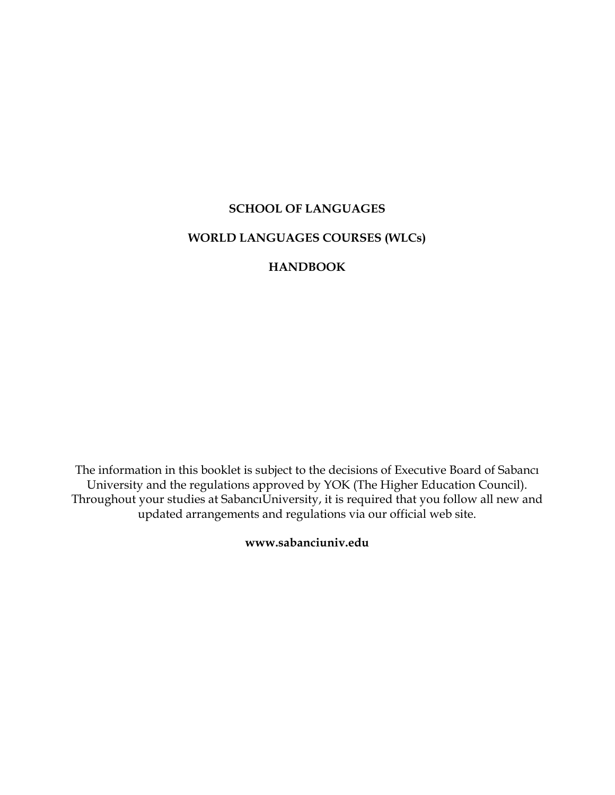# **SCHOOL OF LANGUAGES WORLD LANGUAGES COURSES (WLCs)**

# **HANDBOOK**

The information in this booklet is subject to the decisions of Executive Board of Sabancı University and the regulations approved by YOK (The Higher Education Council). Throughout your studies at SabancıUniversity, it is required that you follow all new and updated arrangements and regulations via our official web site.

**www.sabanciuniv.edu**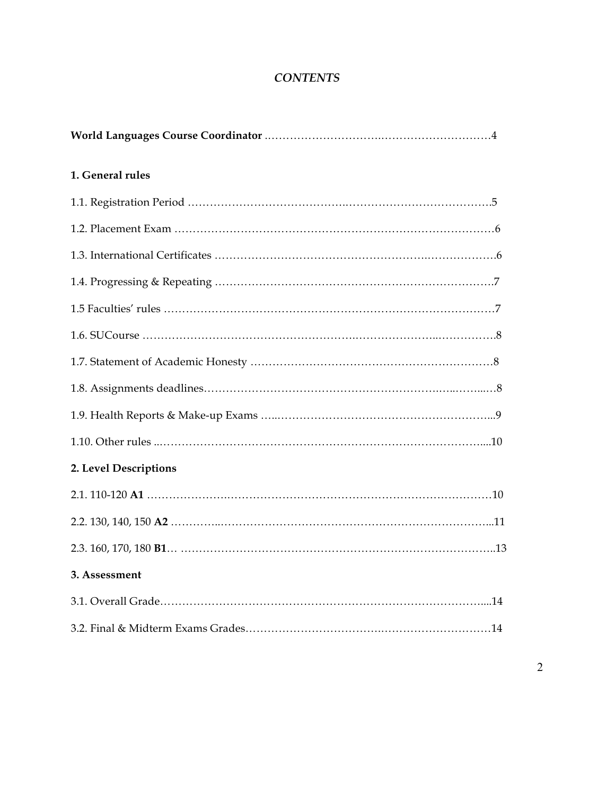# *CONTENTS*

| 1. General rules      |
|-----------------------|
|                       |
|                       |
|                       |
|                       |
|                       |
|                       |
|                       |
|                       |
|                       |
|                       |
| 2. Level Descriptions |
|                       |
|                       |
|                       |
| 3. Assessment         |
|                       |
|                       |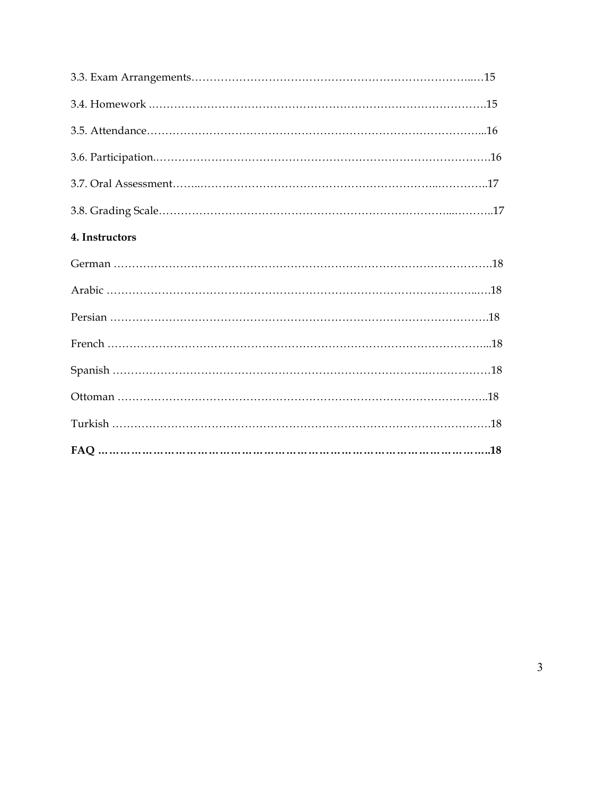| 4. Instructors |  |
|----------------|--|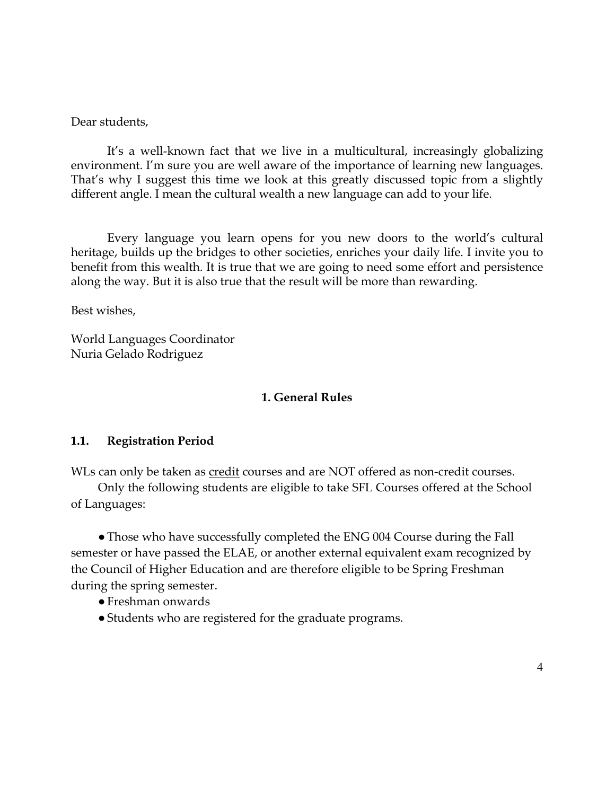Dear students,

It's a well-known fact that we live in a multicultural, increasingly globalizing environment. I'm sure you are well aware of the importance of learning new languages. That's why I suggest this time we look at this greatly discussed topic from a slightly different angle. I mean the cultural wealth a new language can add to your life.

Every language you learn opens for you new doors to the world's cultural heritage, builds up the bridges to other societies, enriches your daily life. I invite you to benefit from this wealth. It is true that we are going to need some effort and persistence along the way. But it is also true that the result will be more than rewarding.

Best wishes,

World Languages Coordinator Nuria Gelado Rodriguez

#### **1. General Rules**

#### **1.1. Registration Period**

WLs can only be taken as credit courses and are NOT offered as non-credit courses.

Only the following students are eligible to take SFL Courses offered at the School of Languages:

• Those who have successfully completed the ENG 004 Course during the Fall semester or have passed the ELAE, or another external equivalent exam recognized by the Council of Higher Education and are therefore eligible to be Spring Freshman during the spring semester.

- ●Freshman onwards
- ●Students who are registered for the graduate programs.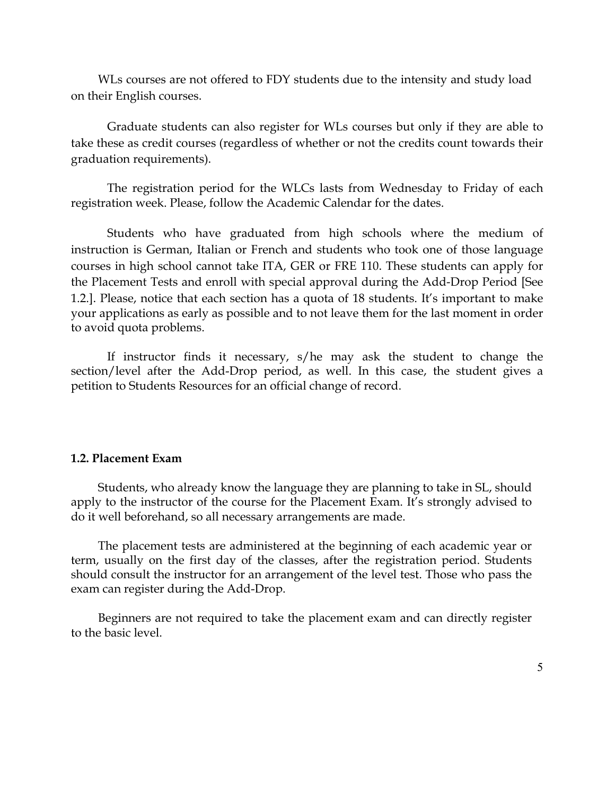WLs courses are not offered to FDY students due to the intensity and study load on their English courses.

Graduate students can also register for WLs courses but only if they are able to take these as credit courses (regardless of whether or not the credits count towards their graduation requirements).

The registration period for the WLCs lasts from Wednesday to Friday of each registration week. Please, follow the Academic Calendar for the dates.

Students who have graduated from high schools where the medium of instruction is German, Italian or French and students who took one of those language courses in high school cannot take ITA, GER or FRE 110. These students can apply for the Placement Tests and enroll with special approval during the Add-Drop Period [See 1.2.]. Please, notice that each section has a quota of 18 students. It's important to make your applications as early as possible and to not leave them for the last moment in order to avoid quota problems.

If instructor finds it necessary, s/he may ask the student to change the section/level after the Add-Drop period, as well. In this case, the student gives a petition to Students Resources for an official change of record.

#### **1.2. Placement Exam**

Students, who already know the language they are planning to take in SL, should apply to the instructor of the course for the Placement Exam. It's strongly advised to do it well beforehand, so all necessary arrangements are made.

The placement tests are administered at the beginning of each academic year or term, usually on the first day of the classes, after the registration period. Students should consult the instructor for an arrangement of the level test. Those who pass the exam can register during the Add-Drop.

Beginners are not required to take the placement exam and can directly register to the basic level.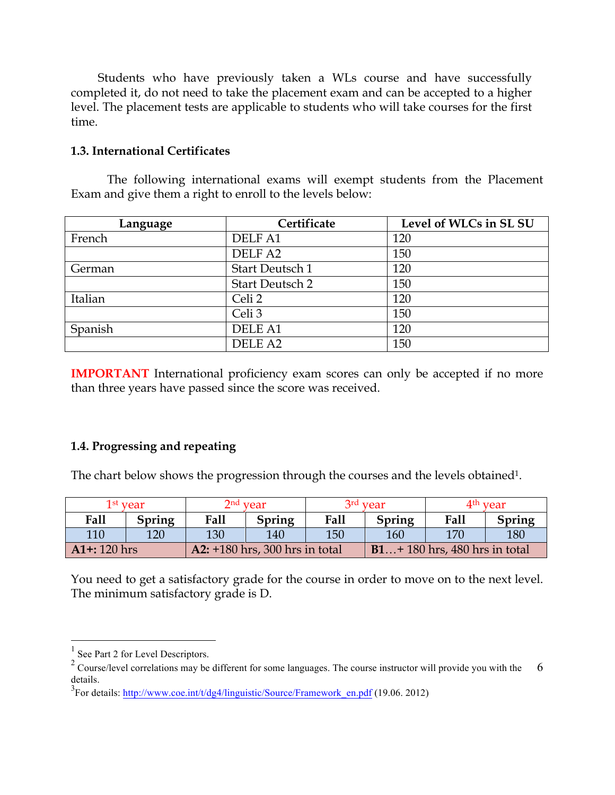Students who have previously taken a WLs course and have successfully completed it, do not need to take the placement exam and can be accepted to a higher level. The placement tests are applicable to students who will take courses for the first time.

## **1.3. International Certificates**

The following international exams will exempt students from the Placement Exam and give them a right to enroll to the levels below:

| Language | Certificate            | Level of WLCs in SL SU |
|----------|------------------------|------------------------|
| French   | DELF A1                | 120                    |
|          | DELF A2                | 150                    |
| German   | Start Deutsch 1        | 120                    |
|          | <b>Start Deutsch 2</b> | 150                    |
| Italian  | Celi <sub>2</sub>      | 120                    |
|          | Celi <sub>3</sub>      | 150                    |
| Spanish  | <b>DELE A1</b>         | 120                    |
|          | DELE A <sub>2</sub>    | 150                    |

**IMPORTANT** International proficiency exam scores can only be accepted if no more than three years have passed since the score was received.

# **1.4. Progressing and repeating**

The chart below shows the progression through the courses and the levels obtained<sup>1</sup>.

|                 | $1^{\rm st}$ vear |      | $2nd$ year                       |      | 3 <sup>rd</sup> vear |                                | 4 <sup>th</sup> vear |
|-----------------|-------------------|------|----------------------------------|------|----------------------|--------------------------------|----------------------|
| Fall            | <b>Spring</b>     | Fall | Spring                           | Fall | Spring               | <b>Fall</b>                    | Spring               |
| 110             | 120               | 130  | 140                              | 150  | 160                  | 170                            | 180                  |
| $AI$ +: 120 hrs |                   |      | A2: $+180$ hrs, 300 hrs in total |      |                      | $B1+180$ hrs, 480 hrs in total |                      |

You need to get a satisfactory grade for the course in order to move on to the next level. The minimum satisfactory grade is D.

 $<sup>1</sup>$  See Part 2 for Level Descriptors.</sup>

<sup>&</sup>lt;sup>2</sup> Course/level correlations may be different for some languages. The course instructor will provide you with the 6 details.

 $3$ For details: http://www.coe.int/t/dg4/linguistic/Source/Framework\_en.pdf (19.06. 2012)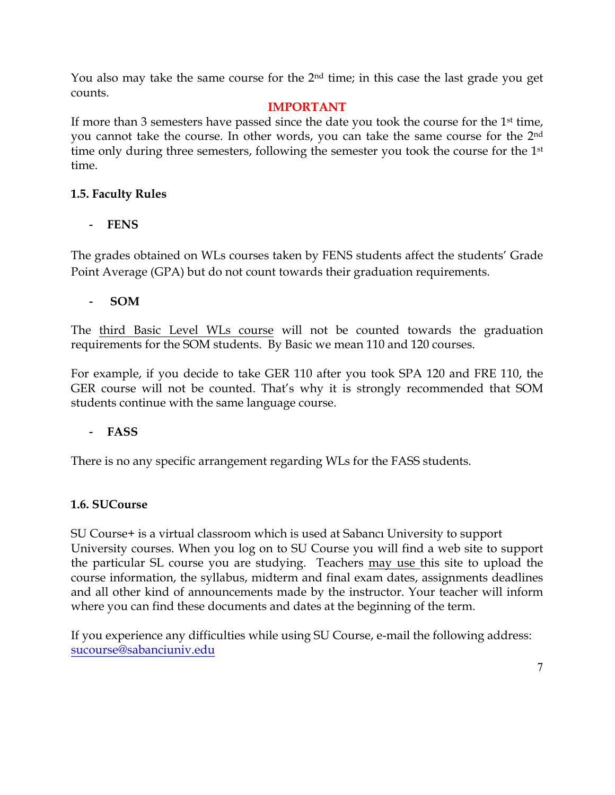You also may take the same course for the  $2<sup>nd</sup>$  time; in this case the last grade you get counts.

# **IMPORTANT**

If more than 3 semesters have passed since the date you took the course for the  $1<sup>st</sup>$  time, you cannot take the course. In other words, you can take the same course for the 2nd time only during three semesters, following the semester you took the course for the 1<sup>st</sup> time.

# **1.5. Faculty Rules**

# - **FENS**

The grades obtained on WLs courses taken by FENS students affect the students' Grade Point Average (GPA) but do not count towards their graduation requirements.

## - **SOM**

The third Basic Level WLs course will not be counted towards the graduation requirements for the SOM students. By Basic we mean 110 and 120 courses.

For example, if you decide to take GER 110 after you took SPA 120 and FRE 110, the GER course will not be counted. That's why it is strongly recommended that SOM students continue with the same language course.

# - **FASS**

There is no any specific arrangement regarding WLs for the FASS students.

# **1.6. SUCourse**

SU Course+ is a virtual classroom which is used at Sabancı University to support University courses. When you log on to SU Course you will find a web site to support the particular SL course you are studying. Teachers may use this site to upload the course information, the syllabus, midterm and final exam dates, assignments deadlines and all other kind of announcements made by the instructor. Your teacher will inform where you can find these documents and dates at the beginning of the term.

If you experience any difficulties while using SU Course, e-mail the following address: sucourse@sabanciuniv.edu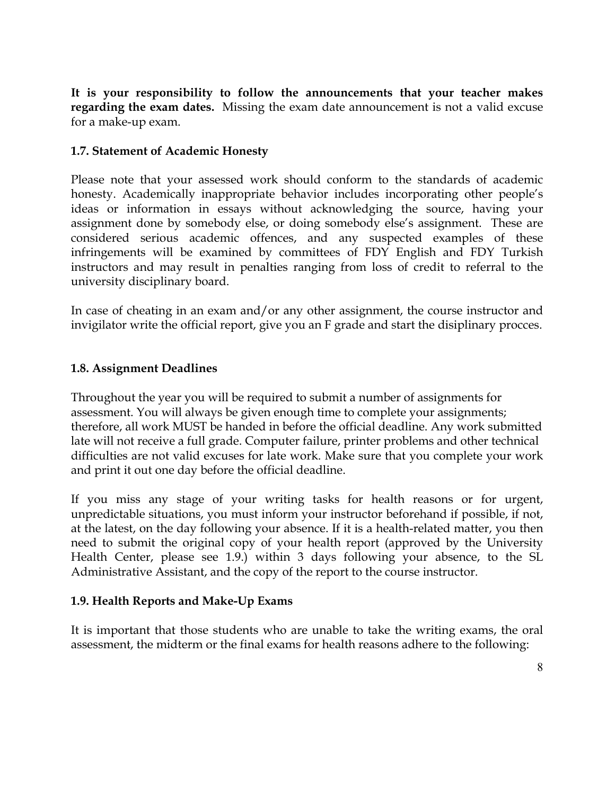**It is your responsibility to follow the announcements that your teacher makes regarding the exam dates.** Missing the exam date announcement is not a valid excuse for a make-up exam.

# **1.7. Statement of Academic Honesty**

Please note that your assessed work should conform to the standards of academic honesty. Academically inappropriate behavior includes incorporating other people's ideas or information in essays without acknowledging the source, having your assignment done by somebody else, or doing somebody else's assignment. These are considered serious academic offences, and any suspected examples of these infringements will be examined by committees of FDY English and FDY Turkish instructors and may result in penalties ranging from loss of credit to referral to the university disciplinary board.

In case of cheating in an exam and/or any other assignment, the course instructor and invigilator write the official report, give you an F grade and start the disiplinary procces.

### **1.8. Assignment Deadlines**

Throughout the year you will be required to submit a number of assignments for assessment. You will always be given enough time to complete your assignments; therefore, all work MUST be handed in before the official deadline. Any work submitted late will not receive a full grade. Computer failure, printer problems and other technical difficulties are not valid excuses for late work. Make sure that you complete your work and print it out one day before the official deadline.

If you miss any stage of your writing tasks for health reasons or for urgent, unpredictable situations, you must inform your instructor beforehand if possible, if not, at the latest, on the day following your absence. If it is a health-related matter, you then need to submit the original copy of your health report (approved by the University Health Center, please see 1.9.) within 3 days following your absence, to the SL Administrative Assistant, and the copy of the report to the course instructor.

### **1.9. Health Reports and Make-Up Exams**

It is important that those students who are unable to take the writing exams, the oral assessment, the midterm or the final exams for health reasons adhere to the following: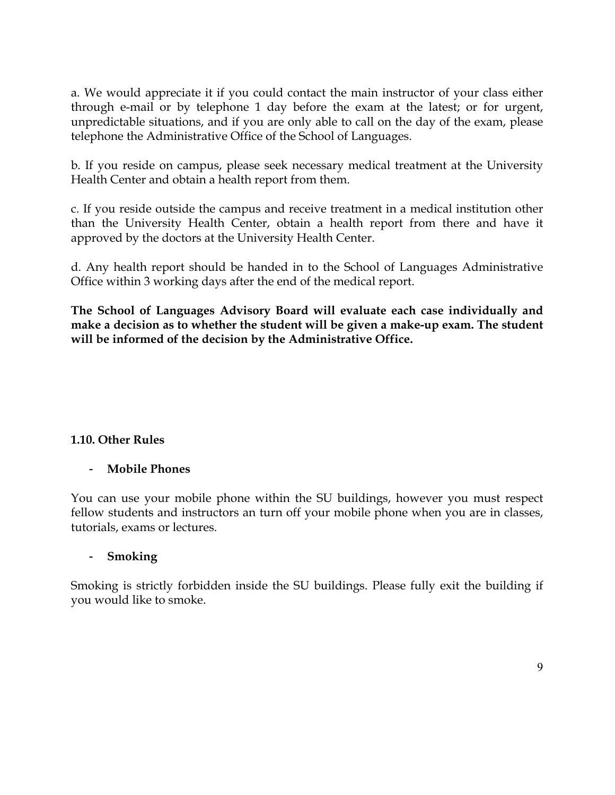a. We would appreciate it if you could contact the main instructor of your class either through e-mail or by telephone 1 day before the exam at the latest; or for urgent, unpredictable situations, and if you are only able to call on the day of the exam, please telephone the Administrative Office of the School of Languages.

b. If you reside on campus, please seek necessary medical treatment at the University Health Center and obtain a health report from them.

c. If you reside outside the campus and receive treatment in a medical institution other than the University Health Center, obtain a health report from there and have it approved by the doctors at the University Health Center.

d. Any health report should be handed in to the School of Languages Administrative Office within 3 working days after the end of the medical report.

**The School of Languages Advisory Board will evaluate each case individually and make a decision as to whether the student will be given a make-up exam. The student will be informed of the decision by the Administrative Office.** 

### **1.10. Other Rules**

### - **Mobile Phones**

You can use your mobile phone within the SU buildings, however you must respect fellow students and instructors an turn off your mobile phone when you are in classes, tutorials, exams or lectures.

### - **Smoking**

Smoking is strictly forbidden inside the SU buildings. Please fully exit the building if you would like to smoke.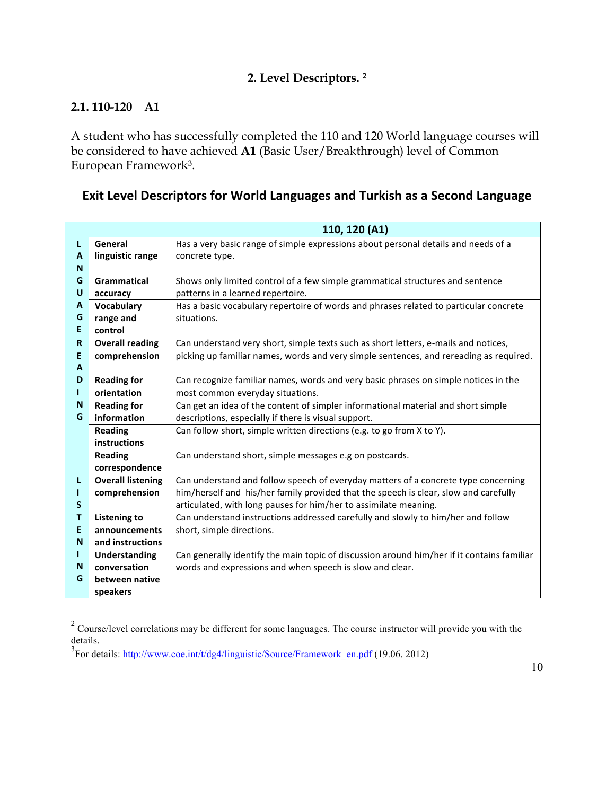# **2. Level Descriptors. 2**

# **2.1. 110-120 A1**

A student who has successfully completed the 110 and 120 World language courses will be considered to have achieved **A1** (Basic User/Breakthrough) level of Common European Framework3.

# **Exit Level Descriptors for World Languages and Turkish as a Second Language**

|                          | 110, 120 (A1)                                                                              |
|--------------------------|--------------------------------------------------------------------------------------------|
| General                  | Has a very basic range of simple expressions about personal details and needs of a         |
|                          | concrete type.                                                                             |
| Grammatical              | Shows only limited control of a few simple grammatical structures and sentence             |
|                          | patterns in a learned repertoire.                                                          |
|                          | Has a basic vocabulary repertoire of words and phrases related to particular concrete      |
|                          | situations.                                                                                |
| control                  |                                                                                            |
| <b>Overall reading</b>   | Can understand very short, simple texts such as short letters, e-mails and notices,        |
|                          | picking up familiar names, words and very simple sentences, and rereading as required.     |
|                          |                                                                                            |
| <b>Reading for</b>       | Can recognize familiar names, words and very basic phrases on simple notices in the        |
| orientation              | most common everyday situations.                                                           |
| <b>Reading for</b>       | Can get an idea of the content of simpler informational material and short simple          |
| information              | descriptions, especially if there is visual support.                                       |
| <b>Reading</b>           | Can follow short, simple written directions (e.g. to go from X to Y).                      |
| instructions             |                                                                                            |
| <b>Reading</b>           | Can understand short, simple messages e.g on postcards.                                    |
| correspondence           |                                                                                            |
| <b>Overall listening</b> | Can understand and follow speech of everyday matters of a concrete type concerning         |
| comprehension            | him/herself and his/her family provided that the speech is clear, slow and carefully       |
|                          | articulated, with long pauses for him/her to assimilate meaning.                           |
| <b>Listening to</b>      | Can understand instructions addressed carefully and slowly to him/her and follow           |
| announcements            | short, simple directions.                                                                  |
| and instructions         |                                                                                            |
| <b>Understanding</b>     | Can generally identify the main topic of discussion around him/her if it contains familiar |
| conversation             | words and expressions and when speech is slow and clear.                                   |
| between native           |                                                                                            |
| speakers                 |                                                                                            |
|                          | linguistic range<br>accuracy<br>Vocabulary<br>range and<br>comprehension                   |

<sup>&</sup>lt;sup>2</sup> Course/level correlations may be different for some languages. The course instructor will provide you with the details.

 $3$ For details: http://www.coe.int/t/dg4/linguistic/Source/Framework\_en.pdf (19.06. 2012)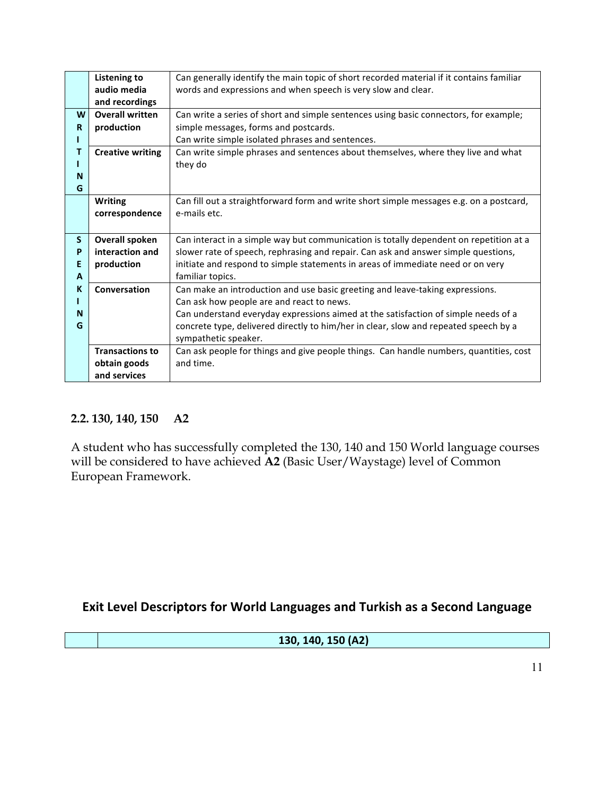|             | <b>Listening to</b>                                                          | Can generally identify the main topic of short recorded material if it contains familiar |
|-------------|------------------------------------------------------------------------------|------------------------------------------------------------------------------------------|
|             | audio media<br>words and expressions and when speech is very slow and clear. |                                                                                          |
|             | and recordings                                                               |                                                                                          |
| W           | <b>Overall written</b>                                                       | Can write a series of short and simple sentences using basic connectors, for example;    |
| $\mathbf R$ | production                                                                   | simple messages, forms and postcards.                                                    |
|             |                                                                              | Can write simple isolated phrases and sentences.                                         |
| т           | <b>Creative writing</b>                                                      | Can write simple phrases and sentences about themselves, where they live and what        |
|             |                                                                              | they do                                                                                  |
| N           |                                                                              |                                                                                          |
| G           |                                                                              |                                                                                          |
|             | <b>Writing</b>                                                               | Can fill out a straightforward form and write short simple messages e.g. on a postcard,  |
|             | correspondence                                                               | e-mails etc.                                                                             |
|             |                                                                              |                                                                                          |
|             |                                                                              |                                                                                          |
| S.          | <b>Overall spoken</b>                                                        | Can interact in a simple way but communication is totally dependent on repetition at a   |
| P           | interaction and                                                              | slower rate of speech, rephrasing and repair. Can ask and answer simple questions,       |
| E           | production                                                                   | initiate and respond to simple statements in areas of immediate need or on very          |
| A           |                                                                              | familiar topics.                                                                         |
| K           | Conversation                                                                 | Can make an introduction and use basic greeting and leave-taking expressions.            |
|             |                                                                              | Can ask how people are and react to news.                                                |
| N           |                                                                              | Can understand everyday expressions aimed at the satisfaction of simple needs of a       |
| G           |                                                                              | concrete type, delivered directly to him/her in clear, slow and repeated speech by a     |
|             |                                                                              | sympathetic speaker.                                                                     |
|             | <b>Transactions to</b>                                                       | Can ask people for things and give people things. Can handle numbers, quantities, cost   |
|             | obtain goods                                                                 | and time.                                                                                |

### **2.2. 130, 140, 150 A2**

A student who has successfully completed the 130, 140 and 150 World language courses will be considered to have achieved **A2** (Basic User/Waystage) level of Common European Framework.

# **Exit Level Descriptors for World Languages and Turkish as a Second Language**

**130, 140, 150 (A2)**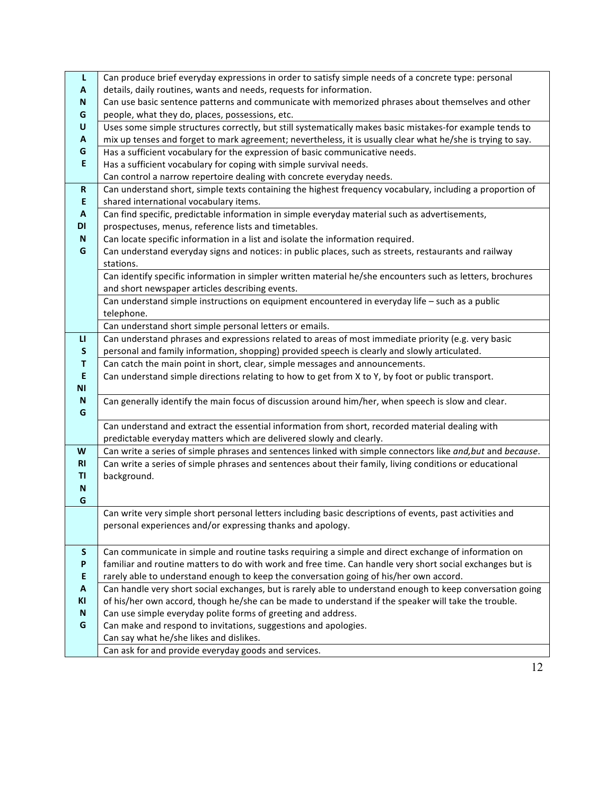| L              | Can produce brief everyday expressions in order to satisfy simple needs of a concrete type: personal        |  |  |  |  |
|----------------|-------------------------------------------------------------------------------------------------------------|--|--|--|--|
| A              | details, daily routines, wants and needs, requests for information.                                         |  |  |  |  |
| N              | Can use basic sentence patterns and communicate with memorized phrases about themselves and other           |  |  |  |  |
| G              | people, what they do, places, possessions, etc.                                                             |  |  |  |  |
| U              | Uses some simple structures correctly, but still systematically makes basic mistakes-for example tends to   |  |  |  |  |
| A              | mix up tenses and forget to mark agreement; nevertheless, it is usually clear what he/she is trying to say. |  |  |  |  |
| G              | Has a sufficient vocabulary for the expression of basic communicative needs.                                |  |  |  |  |
| E              | Has a sufficient vocabulary for coping with simple survival needs.                                          |  |  |  |  |
|                | Can control a narrow repertoire dealing with concrete everyday needs.                                       |  |  |  |  |
| $\mathsf R$    | Can understand short, simple texts containing the highest frequency vocabulary, including a proportion of   |  |  |  |  |
| E              | shared international vocabulary items.                                                                      |  |  |  |  |
| A              | Can find specific, predictable information in simple everyday material such as advertisements,              |  |  |  |  |
| DI             | prospectuses, menus, reference lists and timetables.                                                        |  |  |  |  |
| N              | Can locate specific information in a list and isolate the information required.                             |  |  |  |  |
| G              | Can understand everyday signs and notices: in public places, such as streets, restaurants and railway       |  |  |  |  |
|                | stations.                                                                                                   |  |  |  |  |
|                | Can identify specific information in simpler written material he/she encounters such as letters, brochures  |  |  |  |  |
|                | and short newspaper articles describing events.                                                             |  |  |  |  |
|                | Can understand simple instructions on equipment encountered in everyday life - such as a public             |  |  |  |  |
|                | telephone.                                                                                                  |  |  |  |  |
|                | Can understand short simple personal letters or emails.                                                     |  |  |  |  |
| п              | Can understand phrases and expressions related to areas of most immediate priority (e.g. very basic         |  |  |  |  |
| ${\sf S}$      | personal and family information, shopping) provided speech is clearly and slowly articulated.               |  |  |  |  |
| Τ              | Can catch the main point in short, clear, simple messages and announcements.                                |  |  |  |  |
| E              | Can understand simple directions relating to how to get from X to Y, by foot or public transport.           |  |  |  |  |
| <b>NI</b>      |                                                                                                             |  |  |  |  |
| N              | Can generally identify the main focus of discussion around him/her, when speech is slow and clear.          |  |  |  |  |
| G              |                                                                                                             |  |  |  |  |
|                | Can understand and extract the essential information from short, recorded material dealing with             |  |  |  |  |
|                | predictable everyday matters which are delivered slowly and clearly.                                        |  |  |  |  |
| W<br><b>RI</b> | Can write a series of simple phrases and sentences linked with simple connectors like and, but and because. |  |  |  |  |
| TI             | Can write a series of simple phrases and sentences about their family, living conditions or educational     |  |  |  |  |
| N              | background.                                                                                                 |  |  |  |  |
| G              |                                                                                                             |  |  |  |  |
|                | Can write very simple short personal letters including basic descriptions of events, past activities and    |  |  |  |  |
|                | personal experiences and/or expressing thanks and apology.                                                  |  |  |  |  |
|                |                                                                                                             |  |  |  |  |
| S              | Can communicate in simple and routine tasks requiring a simple and direct exchange of information on        |  |  |  |  |
| P              | familiar and routine matters to do with work and free time. Can handle very short social exchanges but is   |  |  |  |  |
| E              | rarely able to understand enough to keep the conversation going of his/her own accord.                      |  |  |  |  |
| A              | Can handle very short social exchanges, but is rarely able to understand enough to keep conversation going  |  |  |  |  |
| KI             | of his/her own accord, though he/she can be made to understand if the speaker will take the trouble.        |  |  |  |  |
| N              | Can use simple everyday polite forms of greeting and address.                                               |  |  |  |  |
| G              | Can make and respond to invitations, suggestions and apologies.                                             |  |  |  |  |
|                | Can say what he/she likes and dislikes.                                                                     |  |  |  |  |
|                | Can ask for and provide everyday goods and services.                                                        |  |  |  |  |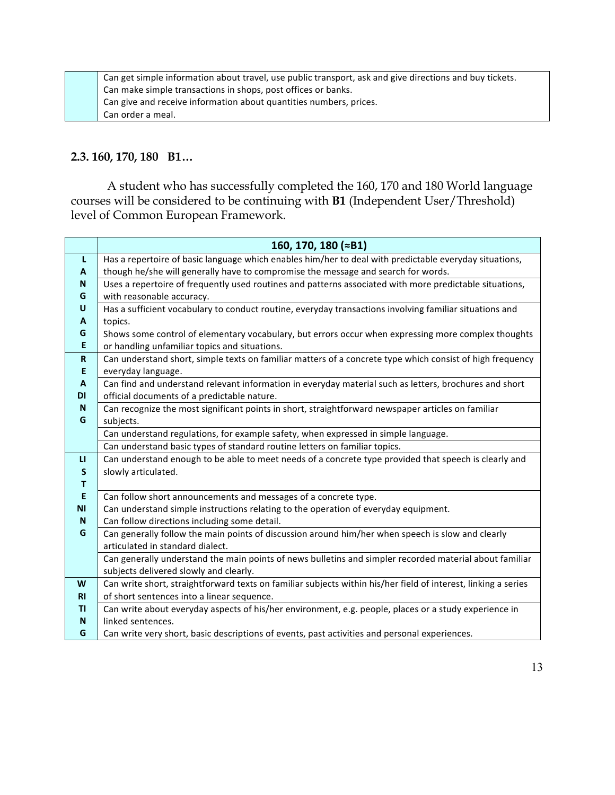Can get simple information about travel, use public transport, ask and give directions and buy tickets. Can make simple transactions in shops, post offices or banks. Can give and receive information about quantities numbers, prices. Can order a meal.

#### **2.3. 160, 170, 180 B1…**

 A student who has successfully completed the 160, 170 and 180 World language courses will be considered to be continuing with **B1** (Independent User/Threshold) level of Common European Framework.

|              | 160, 170, 180 (≈B1)                                                                                            |
|--------------|----------------------------------------------------------------------------------------------------------------|
| L            | Has a repertoire of basic language which enables him/her to deal with predictable everyday situations,         |
| A            | though he/she will generally have to compromise the message and search for words.                              |
| N            | Uses a repertoire of frequently used routines and patterns associated with more predictable situations,        |
| G            | with reasonable accuracy.                                                                                      |
| U            | Has a sufficient vocabulary to conduct routine, everyday transactions involving familiar situations and        |
| A            | topics.                                                                                                        |
| G            | Shows some control of elementary vocabulary, but errors occur when expressing more complex thoughts            |
| Ε            | or handling unfamiliar topics and situations.                                                                  |
| $\mathbf R$  | Can understand short, simple texts on familiar matters of a concrete type which consist of high frequency      |
| E            | everyday language.                                                                                             |
| $\mathbf{A}$ | Can find and understand relevant information in everyday material such as letters, brochures and short         |
| <b>DI</b>    | official documents of a predictable nature.                                                                    |
| N            | Can recognize the most significant points in short, straightforward newspaper articles on familiar             |
| G            | subjects.                                                                                                      |
|              | Can understand regulations, for example safety, when expressed in simple language.                             |
|              | Can understand basic types of standard routine letters on familiar topics.                                     |
| $\mathbf{u}$ | Can understand enough to be able to meet needs of a concrete type provided that speech is clearly and          |
| S            | slowly articulated.                                                                                            |
| $\mathbf{T}$ |                                                                                                                |
| E            | Can follow short announcements and messages of a concrete type.                                                |
| <b>NI</b>    | Can understand simple instructions relating to the operation of everyday equipment.                            |
| N            | Can follow directions including some detail.                                                                   |
| G            | Can generally follow the main points of discussion around him/her when speech is slow and clearly              |
|              | articulated in standard dialect.                                                                               |
|              | Can generally understand the main points of news bulletins and simpler recorded material about familiar        |
|              | subjects delivered slowly and clearly.                                                                         |
| W            | Can write short, straightforward texts on familiar subjects within his/her field of interest, linking a series |
| R1           | of short sentences into a linear sequence.                                                                     |
| ΤI           | Can write about everyday aspects of his/her environment, e.g. people, places or a study experience in          |
| N            | linked sentences.                                                                                              |
| G            | Can write very short, basic descriptions of events, past activities and personal experiences.                  |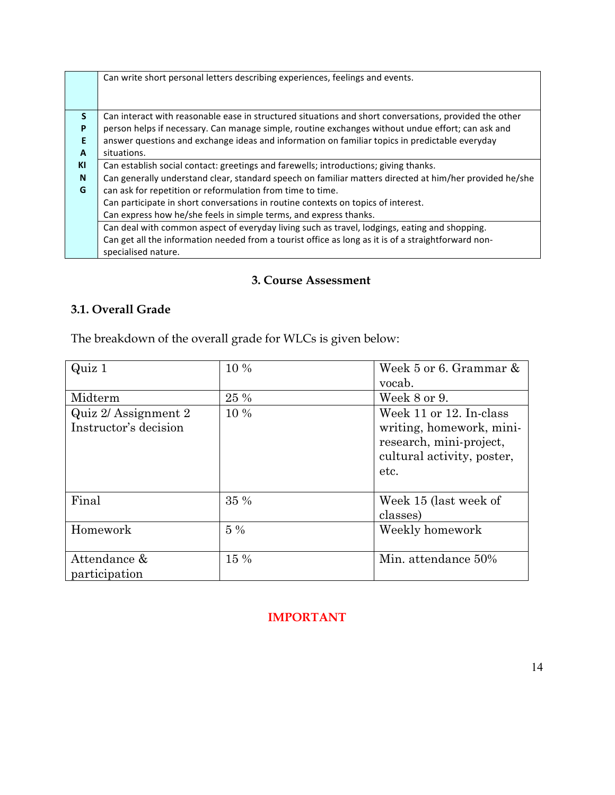|              | Can write short personal letters describing experiences, feelings and events.                           |
|--------------|---------------------------------------------------------------------------------------------------------|
|              |                                                                                                         |
| <sub>S</sub> | Can interact with reasonable ease in structured situations and short conversations, provided the other  |
| P            | person helps if necessary. Can manage simple, routine exchanges without undue effort; can ask and       |
| E            | answer questions and exchange ideas and information on familiar topics in predictable everyday          |
| A            | situations.                                                                                             |
| KI           | Can establish social contact: greetings and farewells; introductions; giving thanks.                    |
| $\mathbf N$  | Can generally understand clear, standard speech on familiar matters directed at him/her provided he/she |
| G            | can ask for repetition or reformulation from time to time.                                              |
|              | Can participate in short conversations in routine contexts on topics of interest.                       |
|              | Can express how he/she feels in simple terms, and express thanks.                                       |
|              | Can deal with common aspect of everyday living such as travel, lodgings, eating and shopping.           |
|              | Can get all the information needed from a tourist office as long as it is of a straightforward non-     |
|              | specialised nature.                                                                                     |

# **3. Course Assessment**

# **3.1. Overall Grade**

The breakdown of the overall grade for WLCs is given below:

| Quiz 1                | 10 %  | Week 5 or 6. Grammar &     |
|-----------------------|-------|----------------------------|
|                       |       | vocab.                     |
| Midterm               | 25 %  | Week 8 or 9.               |
| Quiz 2/ Assignment 2  | 10 %  | Week 11 or 12. In-class    |
| Instructor's decision |       | writing, homework, mini-   |
|                       |       | research, mini-project,    |
|                       |       | cultural activity, poster, |
|                       |       | etc.                       |
|                       |       |                            |
| Final                 | 35 %  | Week 15 (last week of      |
|                       |       | classes)                   |
| Homework              | $5\%$ | Weekly homework            |
|                       |       |                            |
| Attendance &          | 15 %  | Min. attendance 50%        |
| participation         |       |                            |

# **IMPORTANT**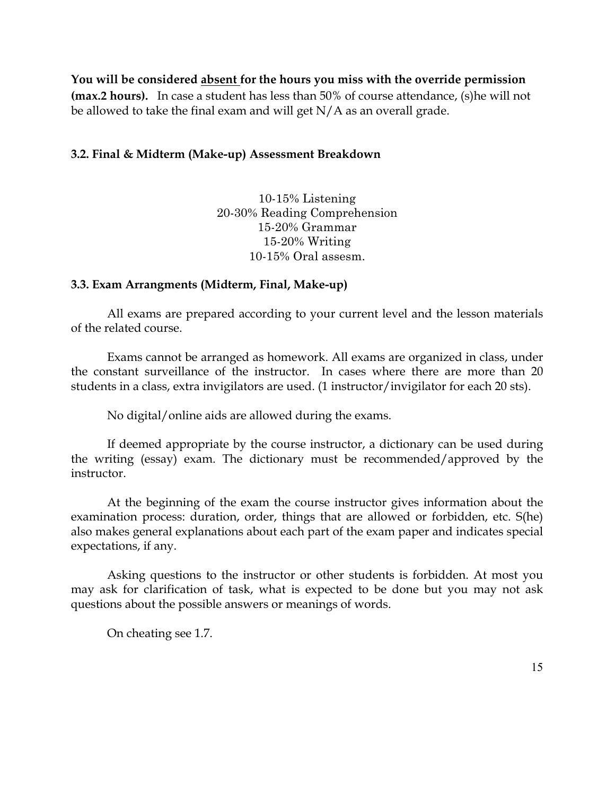**You will be considered absent for the hours you miss with the override permission (max.2 hours).** In case a student has less than 50% of course attendance, (s)he will not be allowed to take the final exam and will get  $N/A$  as an overall grade.

## **3.2. Final & Midterm (Make-up) Assessment Breakdown**

10-15% Listening 20-30% Reading Comprehension 15-20% Grammar 15-20% Writing 10-15% Oral assesm.

### **3.3. Exam Arrangments (Midterm, Final, Make-up)**

All exams are prepared according to your current level and the lesson materials of the related course.

Exams cannot be arranged as homework. All exams are organized in class, under the constant surveillance of the instructor. In cases where there are more than 20 students in a class, extra invigilators are used. (1 instructor/invigilator for each 20 sts).

No digital/online aids are allowed during the exams.

If deemed appropriate by the course instructor, a dictionary can be used during the writing (essay) exam. The dictionary must be recommended/approved by the instructor.

At the beginning of the exam the course instructor gives information about the examination process: duration, order, things that are allowed or forbidden, etc. S(he) also makes general explanations about each part of the exam paper and indicates special expectations, if any.

Asking questions to the instructor or other students is forbidden. At most you may ask for clarification of task, what is expected to be done but you may not ask questions about the possible answers or meanings of words.

On cheating see 1.7.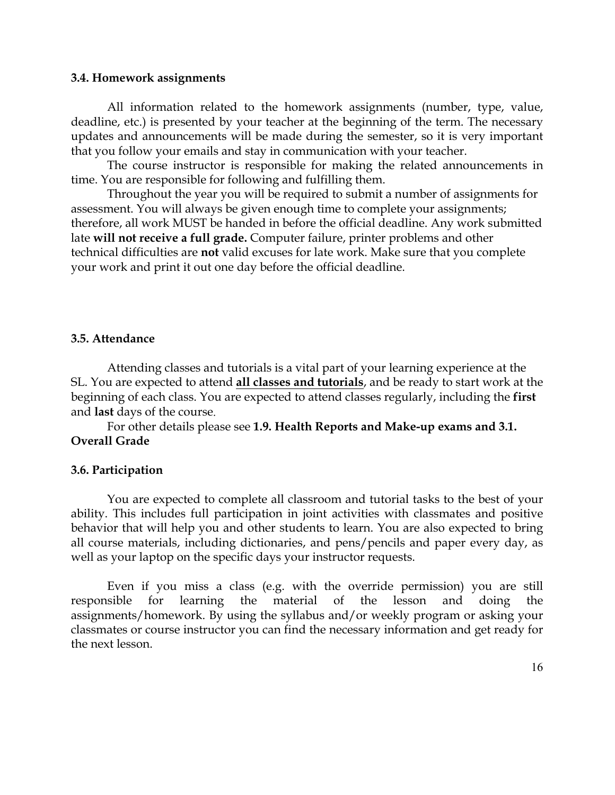#### **3.4. Homework assignments**

All information related to the homework assignments (number, type, value, deadline, etc.) is presented by your teacher at the beginning of the term. The necessary updates and announcements will be made during the semester, so it is very important that you follow your emails and stay in communication with your teacher.

The course instructor is responsible for making the related announcements in time. You are responsible for following and fulfilling them.

Throughout the year you will be required to submit a number of assignments for assessment. You will always be given enough time to complete your assignments; therefore, all work MUST be handed in before the official deadline. Any work submitted late **will not receive a full grade.** Computer failure, printer problems and other technical difficulties are **not** valid excuses for late work. Make sure that you complete your work and print it out one day before the official deadline.

#### **3.5. Attendance**

Attending classes and tutorials is a vital part of your learning experience at the SL. You are expected to attend **all classes and tutorials**, and be ready to start work at the beginning of each class. You are expected to attend classes regularly, including the **first** and **last** days of the course.

For other details please see **1.9. Health Reports and Make-up exams and 3.1. Overall Grade**

#### **3.6. Participation**

You are expected to complete all classroom and tutorial tasks to the best of your ability. This includes full participation in joint activities with classmates and positive behavior that will help you and other students to learn. You are also expected to bring all course materials, including dictionaries, and pens/pencils and paper every day, as well as your laptop on the specific days your instructor requests.

Even if you miss a class (e.g. with the override permission) you are still responsible for learning the material of the lesson and doing the assignments/homework. By using the syllabus and/or weekly program or asking your classmates or course instructor you can find the necessary information and get ready for the next lesson.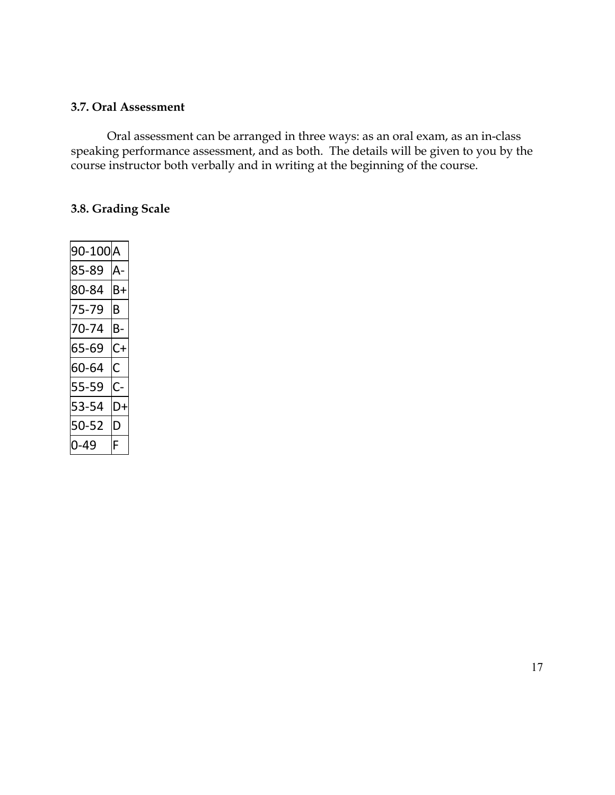#### **3.7. Oral Assessment**

Oral assessment can be arranged in three ways: as an oral exam, as an in-class speaking performance assessment, and as both. The details will be given to you by the course instructor both verbally and in writing at the beginning of the course.

# **3.8. Grading Scale**

| 90-100A |    |
|---------|----|
| 85-89   | Δ  |
| 80-84   | Β+ |
| 75-79   | B  |
| 70-74   | в- |
| 65-69   | C+ |
| 60-64   | С  |
| 55-59   | C- |
| 53-54   | D+ |
| 50-52   | D  |
| 0-49    | F  |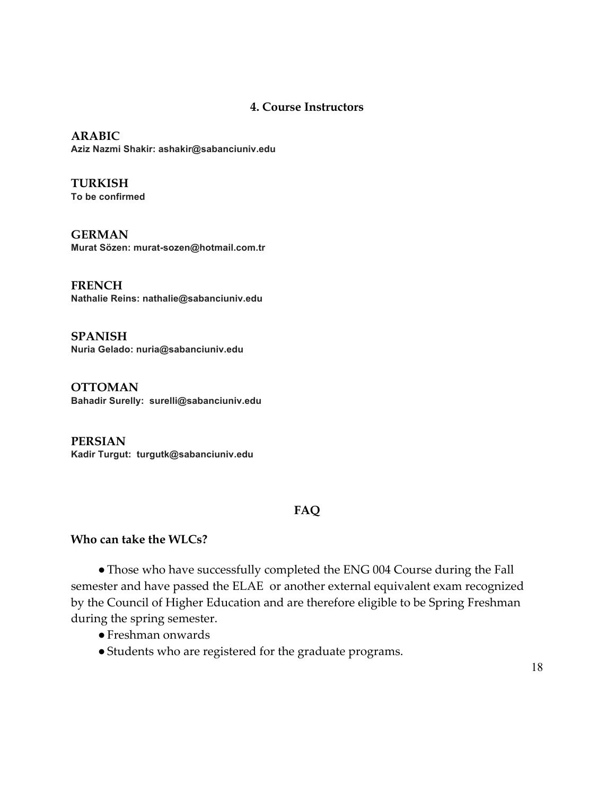#### **4. Course Instructors**

**ARABIC Aziz Nazmi Shakir: ashakir@sabanciuniv.edu**

**TURKISH To be confirmed**

**GERMAN Murat Sözen: murat-sozen@hotmail.com.tr**

**FRENCH Nathalie Reins: nathalie@sabanciuniv.edu**

**SPANISH Nuria Gelado: nuria@sabanciuniv.edu**

**OTTOMAN Bahadir Surelly: surelli@sabanciuniv.edu**

**PERSIAN Kadir Turgut: turgutk@sabanciuniv.edu** 

# **FAQ**

### **Who can take the WLCs?**

●Those who have successfully completed the ENG 004 Course during the Fall semester and have passed the ELAE or another external equivalent exam recognized by the Council of Higher Education and are therefore eligible to be Spring Freshman during the spring semester.

- ●Freshman onwards
- ●Students who are registered for the graduate programs.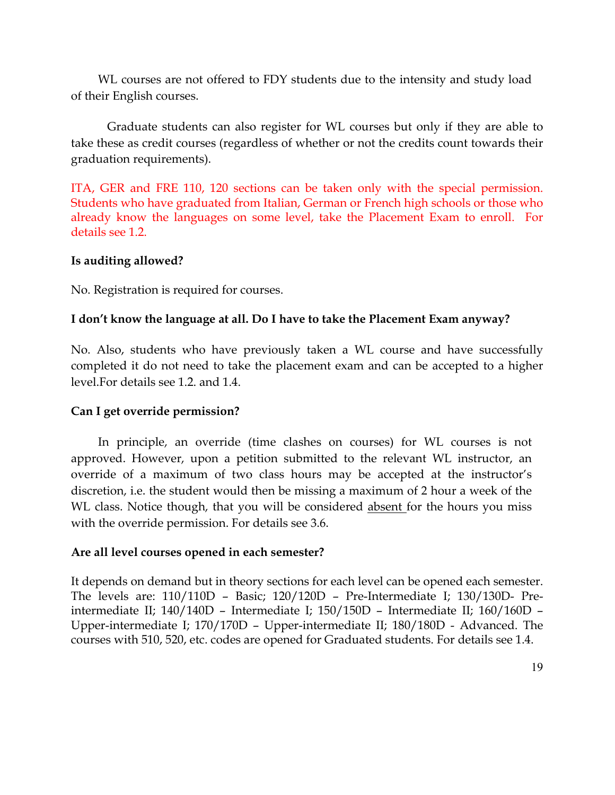WL courses are not offered to FDY students due to the intensity and study load of their English courses.

Graduate students can also register for WL courses but only if they are able to take these as credit courses (regardless of whether or not the credits count towards their graduation requirements).

ITA, GER and FRE 110, 120 sections can be taken only with the special permission. Students who have graduated from Italian, German or French high schools or those who already know the languages on some level, take the Placement Exam to enroll. For details see 1.2.

## **Is auditing allowed?**

No. Registration is required for courses.

# **I don't know the language at all. Do I have to take the Placement Exam anyway?**

No. Also, students who have previously taken a WL course and have successfully completed it do not need to take the placement exam and can be accepted to a higher level.For details see 1.2. and 1.4.

# **Can I get override permission?**

In principle, an override (time clashes on courses) for WL courses is not approved. However, upon a petition submitted to the relevant WL instructor, an override of a maximum of two class hours may be accepted at the instructor's discretion, i.e. the student would then be missing a maximum of 2 hour a week of the WL class. Notice though, that you will be considered absent for the hours you miss with the override permission. For details see 3.6.

### **Are all level courses opened in each semester?**

It depends on demand but in theory sections for each level can be opened each semester. The levels are: 110/110D – Basic; 120/120D – Pre-Intermediate I; 130/130D- Preintermediate II; 140/140D – Intermediate I; 150/150D – Intermediate II; 160/160D – Upper-intermediate I; 170/170D – Upper-intermediate II; 180/180D - Advanced. The courses with 510, 520, etc. codes are opened for Graduated students. For details see 1.4.